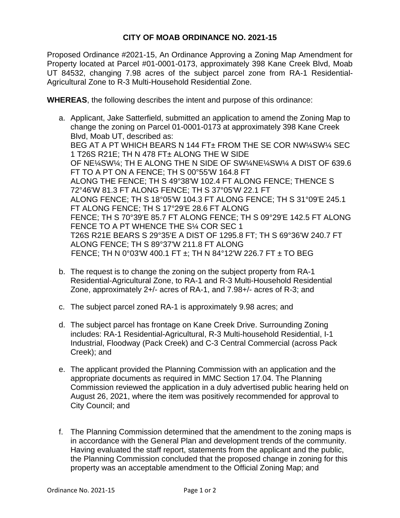## **CITY OF MOAB ORDINANCE NO. 2021-15**

Proposed Ordinance #2021-15, An Ordinance Approving a Zoning Map Amendment for Property located at Parcel #01-0001-0173, approximately 398 Kane Creek Blvd, Moab UT 84532, changing 7.98 acres of the subject parcel zone from RA-1 Residential-Agricultural Zone to R-3 Multi-Household Residential Zone.

**WHEREAS**, the following describes the intent and purpose of this ordinance:

- a. Applicant, Jake Satterfield, submitted an application to amend the Zoning Map to change the zoning on Parcel 01-0001-0173 at approximately 398 Kane Creek Blvd, Moab UT, described as: BEG AT A PT WHICH BEARS N 144 FT± FROM THE SE COR NW¼SW¼ SEC 1 T26S R21E; TH N 478 FT± ALONG THE W SIDE OF NE¼SW¼; TH E ALONG THE N SIDE OF SW¼NE¼SW¼ A DIST OF 639.6 FT TO A PT ON A FENCE; TH S 00°55'W 164.8 FT ALONG THE FENCE; TH S 49°38'W 102.4 FT ALONG FENCE; THENCE S 72°46'W 81.3 FT ALONG FENCE; TH S 37°05'W 22.1 FT ALONG FENCE; TH S 18°05'W 104.3 FT ALONG FENCE; TH S 31°09'E 245.1 FT ALONG FENCE; TH S 17°29'E 28.6 FT ALONG FENCE; TH S 70°39'E 85.7 FT ALONG FENCE; TH S 09°29'E 142.5 FT ALONG FENCE TO A PT WHENCE THE S¼ COR SEC 1 T26S R21E BEARS S 29°35'E A DIST OF 1295.8 FT; TH S 69°36'W 240.7 FT ALONG FENCE; TH S 89°37'W 211.8 FT ALONG FENCE; TH N 0°03'W 400.1 FT ±; TH N 84°12'W 226.7 FT ± TO BEG
- b. The request is to change the zoning on the subject property from RA-1 Residential-Agricultural Zone, to RA-1 and R-3 Multi-Household Residential Zone, approximately 2+/- acres of RA-1, and 7.98+/- acres of R-3; and
- c. The subject parcel zoned RA-1 is approximately 9.98 acres; and
- d. The subject parcel has frontage on Kane Creek Drive. Surrounding Zoning includes: RA-1 Residential-Agricultural, R-3 Multi-household Residential, I-1 Industrial, Floodway (Pack Creek) and C-3 Central Commercial (across Pack Creek); and
- e. The applicant provided the Planning Commission with an application and the appropriate documents as required in MMC Section 17.04. The Planning Commission reviewed the application in a duly advertised public hearing held on August 26, 2021, where the item was positively recommended for approval to City Council; and
- f. The Planning Commission determined that the amendment to the zoning maps is in accordance with the General Plan and development trends of the community. Having evaluated the staff report, statements from the applicant and the public, the Planning Commission concluded that the proposed change in zoning for this property was an acceptable amendment to the Official Zoning Map; and